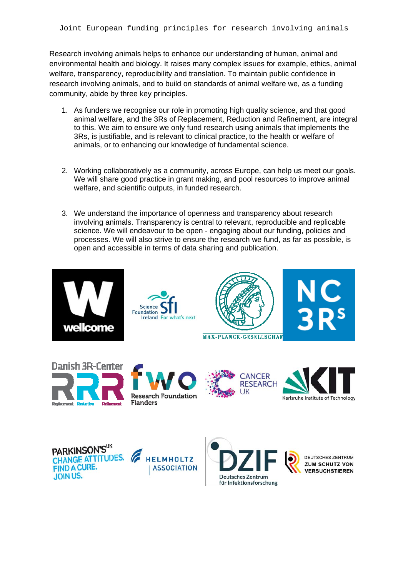Research involving animals helps to enhance our understanding of human, animal and environmental health and biology. It raises many complex issues for example, ethics, animal welfare, transparency, reproducibility and translation. To maintain public confidence in research involving animals, and to build on standards of animal welfare we, as a funding community, abide by three key principles.

- 1. As funders we recognise our role in promoting high quality science, and that good animal welfare, and the 3Rs of Replacement, Reduction and Refinement, are integral to this. We aim to ensure we only fund research using animals that implements the 3Rs, is justifiable, and is relevant to clinical practice, to the health or welfare of animals, or to enhancing our knowledge of fundamental science.
- 2. Working collaboratively as a community, across Europe, can help us meet our goals. We will share good practice in grant making, and pool resources to improve animal welfare, and scientific outputs, in funded research.
- 3. We understand the importance of openness and transparency about research involving animals. Transparency is central to relevant, reproducible and replicable science. We will endeavour to be open - engaging about our funding, policies and processes. We will also strive to ensure the research we fund, as far as possible, is open and accessible in terms of data sharing and publication.